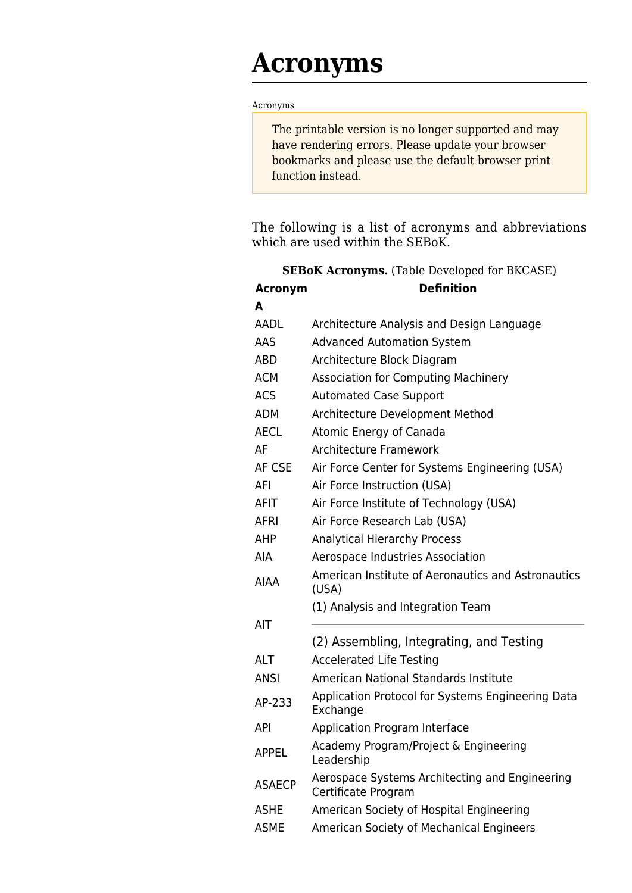## **Acronyms**

## [Acronyms](http://www.sebokwiki.org/wiki/Acronyms)

The printable version is no longer supported and may have rendering errors. Please update your browser bookmarks and please use the default browser print function instead.

The following is a list of acronyms and abbreviations which are used within the SEBoK.

|                | <b>SEBoK Acronyms.</b> (Table Developed for BKCASE)                   |
|----------------|-----------------------------------------------------------------------|
| <b>Acronym</b> | <b>Definition</b>                                                     |
| A              |                                                                       |
| AADL           | Architecture Analysis and Design Language                             |
| AAS            | <b>Advanced Automation System</b>                                     |
| ABD            | Architecture Block Diagram                                            |
| <b>ACM</b>     | <b>Association for Computing Machinery</b>                            |
| <b>ACS</b>     | <b>Automated Case Support</b>                                         |
| <b>ADM</b>     | Architecture Development Method                                       |
| <b>AECL</b>    | Atomic Energy of Canada                                               |
| AF             | <b>Architecture Framework</b>                                         |
| AF CSE         | Air Force Center for Systems Engineering (USA)                        |
| AFI            | Air Force Instruction (USA)                                           |
| <b>AFIT</b>    | Air Force Institute of Technology (USA)                               |
| AFRI           | Air Force Research Lab (USA)                                          |
| <b>AHP</b>     | <b>Analytical Hierarchy Process</b>                                   |
| AIA            | Aerospace Industries Association                                      |
| <b>AIAA</b>    | American Institute of Aeronautics and Astronautics<br>(USA)           |
|                | (1) Analysis and Integration Team                                     |
| AIT            |                                                                       |
|                | (2) Assembling, Integrating, and Testing                              |
| <b>ALT</b>     | <b>Accelerated Life Testing</b>                                       |
| <b>ANSI</b>    | American National Standards Institute                                 |
| AP-233         | Application Protocol for Systems Engineering Data<br>Exchange         |
| API            | <b>Application Program Interface</b>                                  |
| <b>APPEL</b>   | Academy Program/Project & Engineering<br>Leadership                   |
| <b>ASAECP</b>  | Aerospace Systems Architecting and Engineering<br>Certificate Program |
| <b>ASHE</b>    | American Society of Hospital Engineering                              |
| <b>ASME</b>    | American Society of Mechanical Engineers                              |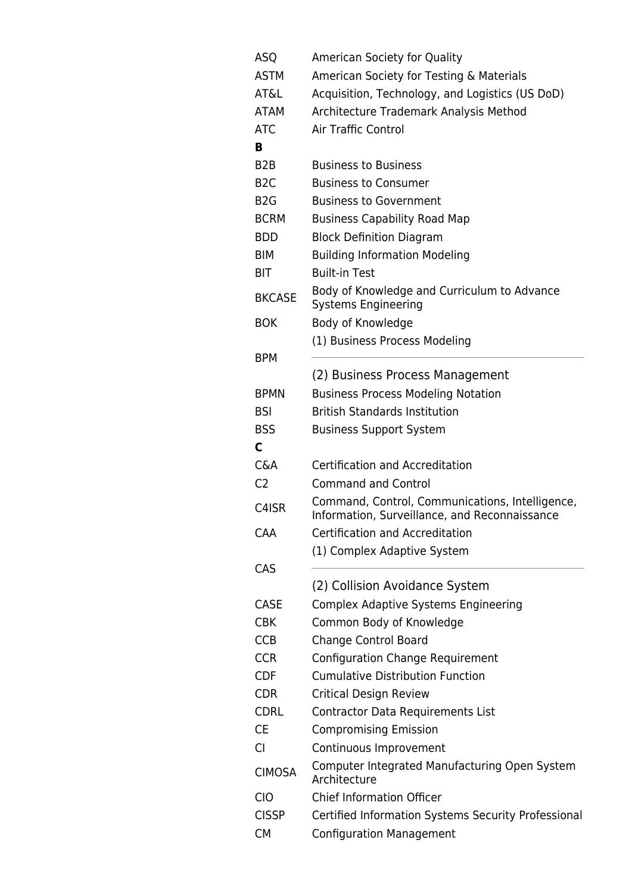| <b>ASQ</b>       | American Society for Quality                                                                     |
|------------------|--------------------------------------------------------------------------------------------------|
| <b>ASTM</b>      | American Society for Testing & Materials                                                         |
| AT&L             | Acquisition, Technology, and Logistics (US DoD)                                                  |
| <b>ATAM</b>      | Architecture Trademark Analysis Method                                                           |
| <b>ATC</b>       | <b>Air Traffic Control</b>                                                                       |
| в                |                                                                                                  |
| B <sub>2</sub> B | <b>Business to Business</b>                                                                      |
| B <sub>2</sub> C | <b>Business to Consumer</b>                                                                      |
| B <sub>2</sub> G | <b>Business to Government</b>                                                                    |
| <b>BCRM</b>      | <b>Business Capability Road Map</b>                                                              |
| <b>BDD</b>       | <b>Block Definition Diagram</b>                                                                  |
| <b>BIM</b>       | <b>Building Information Modeling</b>                                                             |
| <b>BIT</b>       | <b>Built-in Test</b>                                                                             |
| <b>BKCASE</b>    | Body of Knowledge and Curriculum to Advance<br><b>Systems Engineering</b>                        |
| <b>BOK</b>       | Body of Knowledge                                                                                |
|                  | (1) Business Process Modeling                                                                    |
| <b>BPM</b>       |                                                                                                  |
|                  | (2) Business Process Management                                                                  |
| <b>BPMN</b>      | <b>Business Process Modeling Notation</b>                                                        |
| <b>BSI</b>       | <b>British Standards Institution</b>                                                             |
| <b>BSS</b>       | <b>Business Support System</b>                                                                   |
| C                |                                                                                                  |
|                  |                                                                                                  |
| C&A              | <b>Certification and Accreditation</b>                                                           |
| C <sub>2</sub>   | <b>Command and Control</b>                                                                       |
| C4ISR            | Command, Control, Communications, Intelligence,<br>Information, Surveillance, and Reconnaissance |
| <b>CAA</b>       | <b>Certification and Accreditation</b>                                                           |
|                  | (1) Complex Adaptive System                                                                      |
| CAS              |                                                                                                  |
|                  | (2) Collision Avoidance System                                                                   |
| <b>CASE</b>      | <b>Complex Adaptive Systems Engineering</b>                                                      |
| <b>CBK</b>       | Common Body of Knowledge                                                                         |
| <b>CCB</b>       | <b>Change Control Board</b>                                                                      |
| <b>CCR</b>       | <b>Configuration Change Requirement</b>                                                          |
| <b>CDF</b>       | <b>Cumulative Distribution Function</b>                                                          |
| <b>CDR</b>       | <b>Critical Design Review</b>                                                                    |
| <b>CDRL</b>      | Contractor Data Requirements List                                                                |
| <b>CE</b>        | <b>Compromising Emission</b>                                                                     |
| CI               | Continuous Improvement                                                                           |
| <b>CIMOSA</b>    | Computer Integrated Manufacturing Open System<br>Architecture                                    |
| <b>CIO</b>       | <b>Chief Information Officer</b>                                                                 |
| <b>CISSP</b>     | Certified Information Systems Security Professional                                              |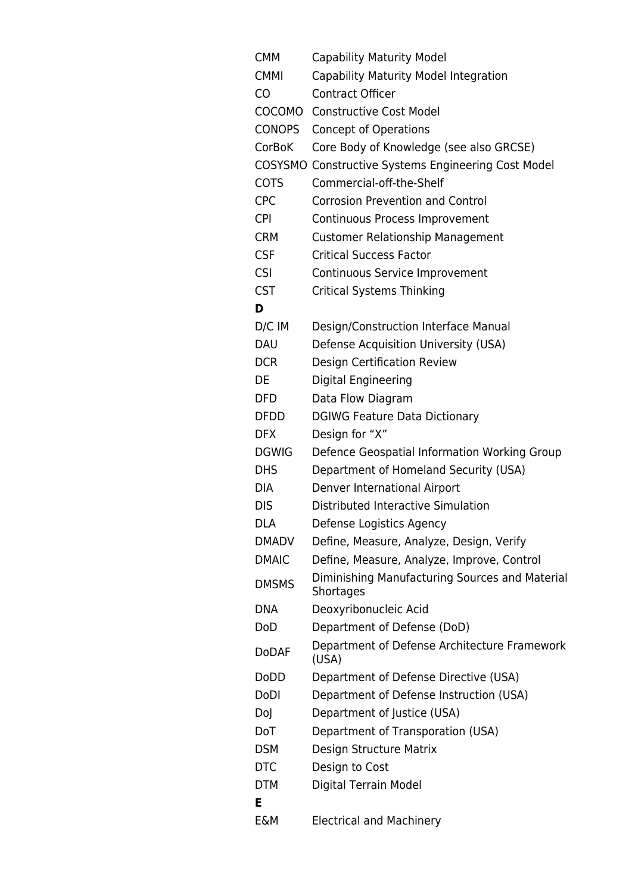| <b>CMM</b>     | <b>Capability Maturity Model</b>                            |
|----------------|-------------------------------------------------------------|
| <b>CMMI</b>    | Capability Maturity Model Integration                       |
| CO             | <b>Contract Officer</b>                                     |
| COCOMO         | <b>Constructive Cost Model</b>                              |
| <b>CONOPS</b>  | <b>Concept of Operations</b>                                |
| <b>CorBoK</b>  | Core Body of Knowledge (see also GRCSE)                     |
|                | <b>COSYSMO Constructive Systems Engineering Cost Model</b>  |
| <b>COTS</b>    | Commercial-off-the-Shelf                                    |
| <b>CPC</b>     | <b>Corrosion Prevention and Control</b>                     |
| <b>CPI</b>     | Continuous Process Improvement                              |
| <b>CRM</b>     | <b>Customer Relationship Management</b>                     |
| <b>CSF</b>     | <b>Critical Success Factor</b>                              |
| <b>CSI</b>     | Continuous Service Improvement                              |
| <b>CST</b>     | <b>Critical Systems Thinking</b>                            |
| D              |                                                             |
| D/C IM         | Design/Construction Interface Manual                        |
| <b>DAU</b>     | Defense Acquisition University (USA)                        |
| <b>DCR</b>     | <b>Design Certification Review</b>                          |
| DE             | Digital Engineering                                         |
| <b>DFD</b>     | Data Flow Diagram                                           |
| <b>DFDD</b>    | <b>DGIWG Feature Data Dictionary</b>                        |
| <b>DFX</b>     | Design for "X"                                              |
| <b>DGWIG</b>   | Defence Geospatial Information Working Group                |
| <b>DHS</b>     | Department of Homeland Security (USA)                       |
| <b>DIA</b>     | Denver International Airport                                |
| <b>DIS</b>     | Distributed Interactive Simulation                          |
| DLA            | Defense Logistics Agency                                    |
| <b>DMADV</b>   | Define, Measure, Analyze, Design, Verify                    |
| <b>DMAIC</b>   | Define, Measure, Analyze, Improve, Control                  |
| <b>DMSMS</b>   | Diminishing Manufacturing Sources and Material<br>Shortages |
| <b>DNA</b>     | Deoxyribonucleic Acid                                       |
| DoD            | Department of Defense (DoD)                                 |
| <b>DoDAF</b>   | Department of Defense Architecture Framework<br>(USA)       |
| <b>DoDD</b>    | Department of Defense Directive (USA)                       |
| DoDI           | Department of Defense Instruction (USA)                     |
| Doj            | Department of Justice (USA)                                 |
| <b>DoT</b>     | Department of Transporation (USA)                           |
| <b>DSM</b>     | Design Structure Matrix                                     |
| <b>DTC</b>     | Design to Cost                                              |
| <b>DTM</b>     | Digital Terrain Model                                       |
| Е              |                                                             |
| <b>E&amp;M</b> | <b>Electrical and Machinery</b>                             |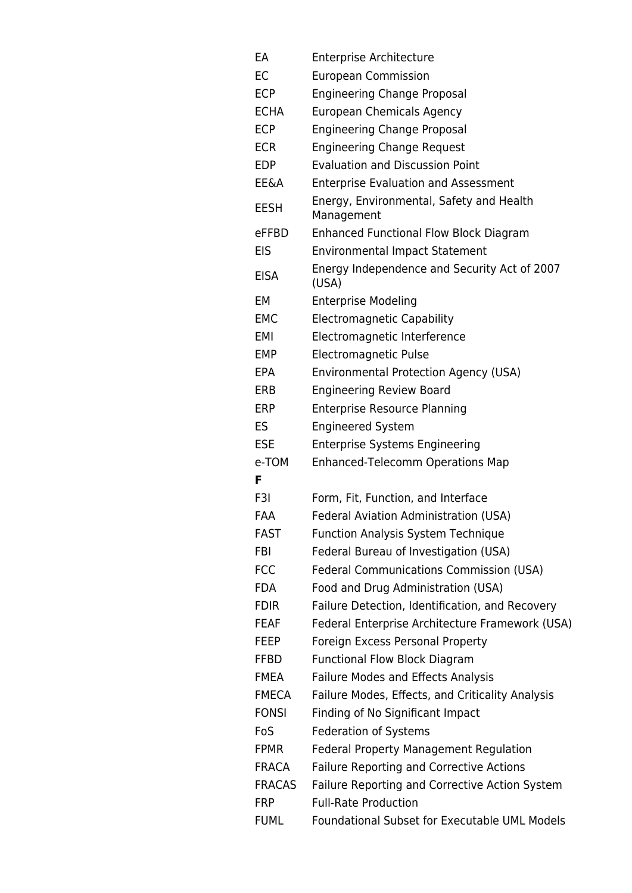| EA               | <b>Enterprise Architecture</b>                         |
|------------------|--------------------------------------------------------|
| EC               | <b>European Commission</b>                             |
| <b>ECP</b>       | <b>Engineering Change Proposal</b>                     |
| <b>ECHA</b>      | <b>European Chemicals Agency</b>                       |
| <b>ECP</b>       | <b>Engineering Change Proposal</b>                     |
| <b>ECR</b>       | <b>Engineering Change Request</b>                      |
| <b>EDP</b>       | <b>Evaluation and Discussion Point</b>                 |
| <b>EE&amp;A</b>  | <b>Enterprise Evaluation and Assessment</b>            |
| <b>EESH</b>      | Energy, Environmental, Safety and Health<br>Management |
| eFFBD            | <b>Enhanced Functional Flow Block Diagram</b>          |
| <b>EIS</b>       | <b>Environmental Impact Statement</b>                  |
| <b>EISA</b>      | Energy Independence and Security Act of 2007<br>(USA)  |
| <b>EM</b>        | <b>Enterprise Modeling</b>                             |
| <b>EMC</b>       | <b>Electromagnetic Capability</b>                      |
| <b>EMI</b>       | Electromagnetic Interference                           |
| <b>EMP</b>       | Electromagnetic Pulse                                  |
| <b>EPA</b>       | <b>Environmental Protection Agency (USA)</b>           |
| ERB              | <b>Engineering Review Board</b>                        |
| <b>ERP</b>       | <b>Enterprise Resource Planning</b>                    |
| ES               | <b>Engineered System</b>                               |
| <b>ESE</b>       | <b>Enterprise Systems Engineering</b>                  |
| e-TOM            | <b>Enhanced-Telecomm Operations Map</b>                |
| F                |                                                        |
| F <sub>3</sub> I | Form, Fit, Function, and Interface                     |
| FAA              | Federal Aviation Administration (USA)                  |
| <b>FAST</b>      | <b>Function Analysis System Technique</b>              |
| <b>FBI</b>       | Federal Bureau of Investigation (USA)                  |
| <b>FCC</b>       | <b>Federal Communications Commission (USA)</b>         |
| <b>FDA</b>       | Food and Drug Administration (USA)                     |
| <b>FDIR</b>      | Failure Detection, Identification, and Recovery        |
| <b>FEAF</b>      | Federal Enterprise Architecture Framework (USA)        |
| <b>FEEP</b>      | Foreign Excess Personal Property                       |
| <b>FFBD</b>      | <b>Functional Flow Block Diagram</b>                   |
| <b>FMEA</b>      | <b>Failure Modes and Effects Analysis</b>              |
| <b>FMECA</b>     | Failure Modes, Effects, and Criticality Analysis       |
| <b>FONSI</b>     | Finding of No Significant Impact                       |
| FoS              | <b>Federation of Systems</b>                           |
| <b>FPMR</b>      | <b>Federal Property Management Regulation</b>          |
| <b>FRACA</b>     | <b>Failure Reporting and Corrective Actions</b>        |
| <b>FRACAS</b>    | Failure Reporting and Corrective Action System         |
| <b>FRP</b>       | <b>Full-Rate Production</b>                            |
| <b>FUML</b>      | Foundational Subset for Executable UML Models          |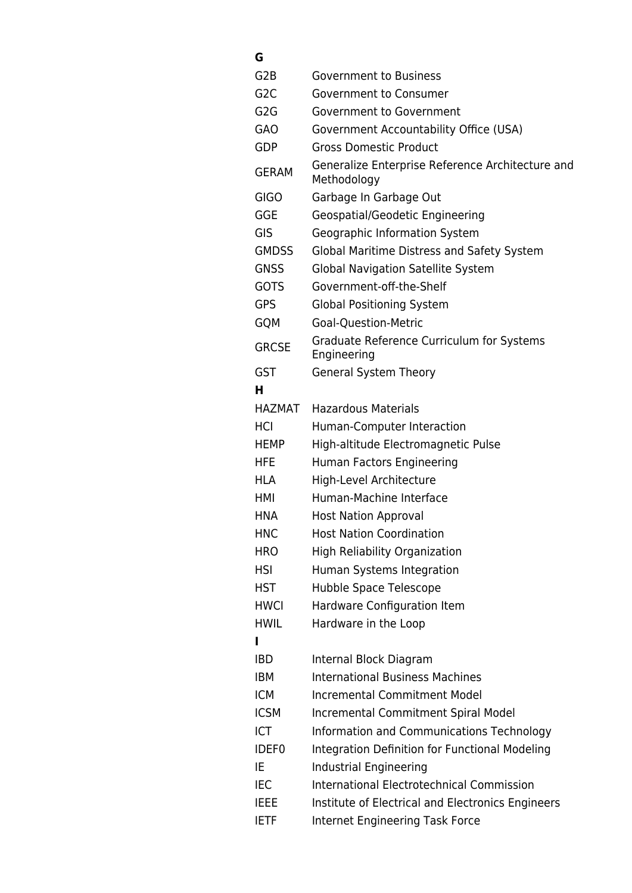| G                |                                                                 |
|------------------|-----------------------------------------------------------------|
| G <sub>2</sub> B | <b>Government to Business</b>                                   |
| G <sub>2</sub> C | Government to Consumer                                          |
| G <sub>2</sub> G | <b>Government to Government</b>                                 |
| <b>GAO</b>       | Government Accountability Office (USA)                          |
| <b>GDP</b>       | <b>Gross Domestic Product</b>                                   |
| <b>GERAM</b>     | Generalize Enterprise Reference Architecture and<br>Methodology |
| <b>GIGO</b>      | Garbage In Garbage Out                                          |
| <b>GGE</b>       | Geospatial/Geodetic Engineering                                 |
| <b>GIS</b>       | Geographic Information System                                   |
| <b>GMDSS</b>     | Global Maritime Distress and Safety System                      |
| <b>GNSS</b>      | <b>Global Navigation Satellite System</b>                       |
| <b>GOTS</b>      | Government-off-the-Shelf                                        |
| <b>GPS</b>       | <b>Global Positioning System</b>                                |
| <b>GQM</b>       | <b>Goal-Question-Metric</b>                                     |
| <b>GRCSE</b>     | Graduate Reference Curriculum for Systems<br>Engineering        |
| <b>GST</b>       | <b>General System Theory</b>                                    |
| н                |                                                                 |
| <b>HAZMAT</b>    | Hazardous Materials                                             |
| HCI              | Human-Computer Interaction                                      |
| <b>HEMP</b>      | High-altitude Electromagnetic Pulse                             |
| <b>HFE</b>       | Human Factors Engineering                                       |
| <b>HLA</b>       | High-Level Architecture                                         |
| HMI              | Human-Machine Interface                                         |
| <b>HNA</b>       | <b>Host Nation Approval</b>                                     |
| <b>HNC</b>       | <b>Host Nation Coordination</b>                                 |
| <b>HRO</b>       | <b>High Reliability Organization</b>                            |
| <b>HSI</b>       | Human Systems Integration                                       |
| <b>HST</b>       | Hubble Space Telescope                                          |
| <b>HWCI</b>      | Hardware Configuration Item                                     |
| <b>HWIL</b>      | Hardware in the Loop                                            |
| L                |                                                                 |
| <b>IBD</b>       | Internal Block Diagram                                          |
| <b>IBM</b>       | <b>International Business Machines</b>                          |
| <b>ICM</b>       | <b>Incremental Commitment Model</b>                             |
| <b>ICSM</b>      | <b>Incremental Commitment Spiral Model</b>                      |
| <b>ICT</b>       | Information and Communications Technology                       |
| <b>IDEF0</b>     | Integration Definition for Functional Modeling                  |
| IE               | Industrial Engineering                                          |
| <b>IEC</b>       | International Electrotechnical Commission                       |
| <b>IEEE</b>      | Institute of Electrical and Electronics Engineers               |
| <b>IETF</b>      | <b>Internet Engineering Task Force</b>                          |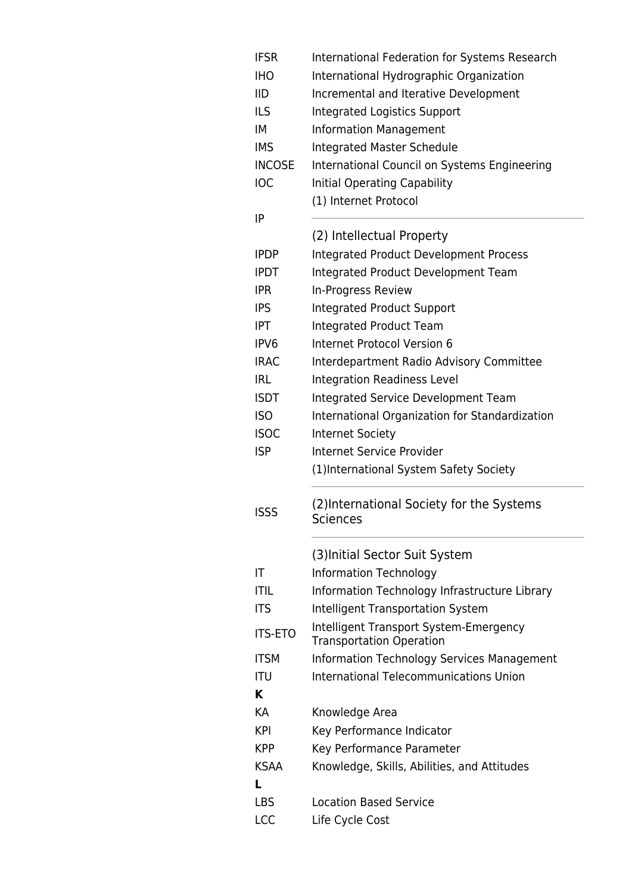| <b>IFSR</b>    | International Federation for Systems Research                             |
|----------------|---------------------------------------------------------------------------|
| <b>IHO</b>     | International Hydrographic Organization                                   |
| <b>IID</b>     | Incremental and Iterative Development                                     |
| <b>ILS</b>     | Integrated Logistics Support                                              |
| IM             | <b>Information Management</b>                                             |
| <b>IMS</b>     | <b>Integrated Master Schedule</b>                                         |
| <b>INCOSE</b>  | International Council on Systems Engineering                              |
| <b>IOC</b>     | Initial Operating Capability                                              |
|                | (1) Internet Protocol                                                     |
| IP             |                                                                           |
|                | (2) Intellectual Property                                                 |
| <b>IPDP</b>    | <b>Integrated Product Development Process</b>                             |
| <b>IPDT</b>    | Integrated Product Development Team                                       |
| <b>IPR</b>     | In-Progress Review                                                        |
| <b>IPS</b>     | <b>Integrated Product Support</b>                                         |
| <b>IPT</b>     | <b>Integrated Product Team</b>                                            |
| IPV6           | <b>Internet Protocol Version 6</b>                                        |
| <b>IRAC</b>    | Interdepartment Radio Advisory Committee                                  |
| <b>IRL</b>     | <b>Integration Readiness Level</b>                                        |
| <b>ISDT</b>    | Integrated Service Development Team                                       |
| <b>ISO</b>     | International Organization for Standardization                            |
| <b>ISOC</b>    | <b>Internet Society</b>                                                   |
| <b>ISP</b>     | Internet Service Provider                                                 |
|                |                                                                           |
|                |                                                                           |
|                | (1) International System Safety Society                                   |
|                | (2) International Society for the Systems                                 |
| <b>ISSS</b>    | <b>Sciences</b>                                                           |
|                |                                                                           |
|                | (3) Initial Sector Suit System                                            |
| IT             | <b>Information Technology</b>                                             |
| <b>ITIL</b>    | Information Technology Infrastructure Library                             |
| <b>ITS</b>     | <b>Intelligent Transportation System</b>                                  |
| <b>ITS-ETO</b> | Intelligent Transport System-Emergency<br><b>Transportation Operation</b> |
| <b>ITSM</b>    | <b>Information Technology Services Management</b>                         |
| <b>ITU</b>     | <b>International Telecommunications Union</b>                             |
| K              |                                                                           |
| <b>KA</b>      | Knowledge Area                                                            |
| <b>KPI</b>     | Key Performance Indicator                                                 |
| <b>KPP</b>     | Key Performance Parameter                                                 |
| <b>KSAA</b>    | Knowledge, Skills, Abilities, and Attitudes                               |
| L              |                                                                           |
| <b>LBS</b>     | <b>Location Based Service</b>                                             |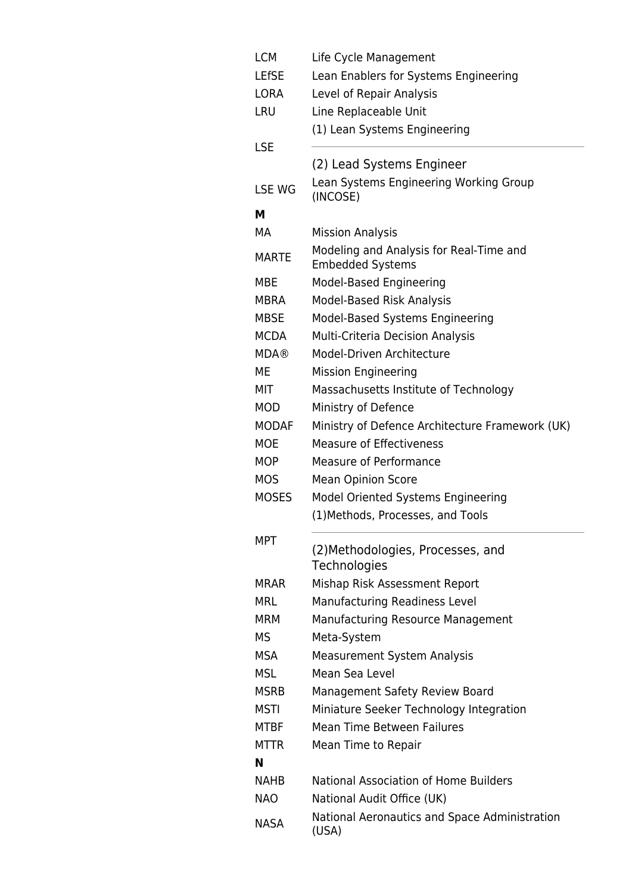| <b>LCM</b>               | Life Cycle Management                                                 |
|--------------------------|-----------------------------------------------------------------------|
| <b>LEfSE</b>             | Lean Enablers for Systems Engineering                                 |
| <b>LORA</b>              | Level of Repair Analysis                                              |
| <b>LRU</b>               | Line Replaceable Unit                                                 |
|                          | (1) Lean Systems Engineering                                          |
| <b>LSE</b>               |                                                                       |
|                          | (2) Lead Systems Engineer                                             |
| <b>LSE WG</b>            | Lean Systems Engineering Working Group<br>(INCOSE)                    |
| м                        |                                                                       |
| MA                       | <b>Mission Analysis</b>                                               |
| <b>MARTE</b>             | Modeling and Analysis for Real-Time and<br><b>Embedded Systems</b>    |
| <b>MBE</b>               | Model-Based Engineering                                               |
| MBRA                     | Model-Based Risk Analysis                                             |
| <b>MBSE</b>              | Model-Based Systems Engineering                                       |
| <b>MCDA</b>              | <b>Multi-Criteria Decision Analysis</b>                               |
| <b>MDA®</b>              | Model-Driven Architecture                                             |
| ME                       | <b>Mission Engineering</b>                                            |
| MIT                      | Massachusetts Institute of Technology                                 |
| <b>MOD</b>               | Ministry of Defence                                                   |
| <b>MODAF</b>             | Ministry of Defence Architecture Framework (UK)                       |
| <b>MOE</b>               | <b>Measure of Effectiveness</b>                                       |
| <b>MOP</b>               | <b>Measure of Performance</b>                                         |
| <b>MOS</b>               | <b>Mean Opinion Score</b>                                             |
| <b>MOSES</b>             | Model Oriented Systems Engineering                                    |
|                          | (1) Methods, Processes, and Tools                                     |
| <b>MPT</b>               |                                                                       |
|                          | (2) Methodologies, Processes, and<br>Technologies                     |
|                          |                                                                       |
| <b>MRAR</b>              | Mishap Risk Assessment Report                                         |
| <b>MRL</b><br><b>MRM</b> | Manufacturing Readiness Level                                         |
| <b>MS</b>                | Manufacturing Resource Management                                     |
| <b>MSA</b>               | Meta-System                                                           |
| <b>MSL</b>               | <b>Measurement System Analysis</b><br>Mean Sea Level                  |
| MSRB                     |                                                                       |
| <b>MSTI</b>              | <b>Management Safety Review Board</b>                                 |
| <b>MTBF</b>              | Miniature Seeker Technology Integration<br>Mean Time Between Failures |
| <b>MTTR</b>              |                                                                       |
| N                        | Mean Time to Repair                                                   |
| <b>NAHB</b>              | National Association of Home Builders                                 |
| <b>NAO</b>               | National Audit Office (UK)                                            |
|                          | National Aeronautics and Space Administration                         |
| <b>NASA</b>              | (USA)                                                                 |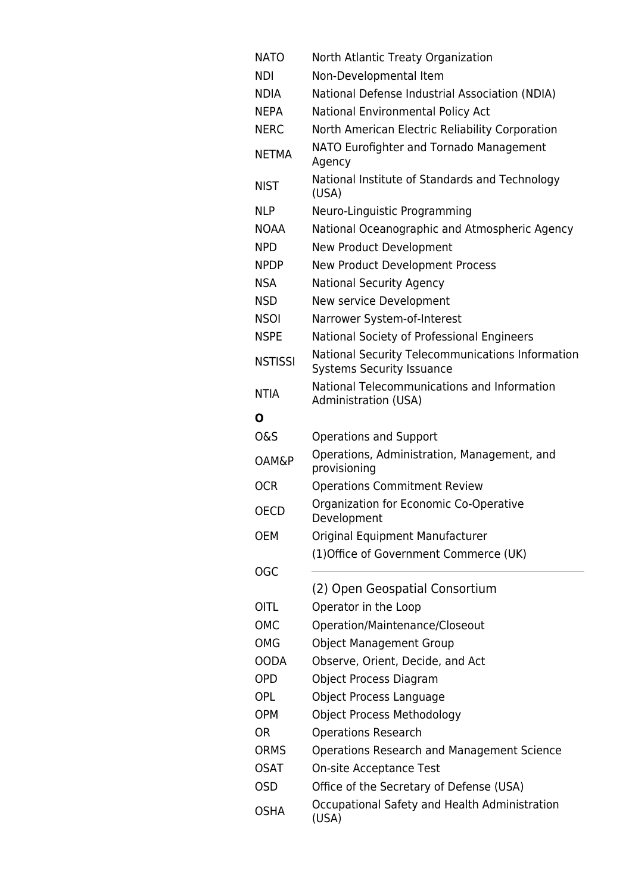| <b>NATO</b>      | North Atlantic Treaty Organization                                                   |
|------------------|--------------------------------------------------------------------------------------|
| <b>NDI</b>       | Non-Developmental Item                                                               |
| <b>NDIA</b>      | National Defense Industrial Association (NDIA)                                       |
| <b>NEPA</b>      | National Environmental Policy Act                                                    |
| <b>NERC</b>      | North American Electric Reliability Corporation                                      |
| <b>NETMA</b>     | NATO Eurofighter and Tornado Management<br>Agency                                    |
| <b>NIST</b>      | National Institute of Standards and Technology<br>(USA)                              |
| <b>NLP</b>       | Neuro-Linguistic Programming                                                         |
| <b>NOAA</b>      | National Oceanographic and Atmospheric Agency                                        |
| <b>NPD</b>       | <b>New Product Development</b>                                                       |
| <b>NPDP</b>      | New Product Development Process                                                      |
| <b>NSA</b>       | <b>National Security Agency</b>                                                      |
| <b>NSD</b>       | New service Development                                                              |
| <b>NSOI</b>      | Narrower System-of-Interest                                                          |
| <b>NSPE</b>      | National Society of Professional Engineers                                           |
| <b>NSTISSI</b>   | National Security Telecommunications Information<br><b>Systems Security Issuance</b> |
| <b>NTIA</b>      | National Telecommunications and Information<br><b>Administration (USA)</b>           |
| O                |                                                                                      |
| <b>O&amp;S</b>   | Operations and Support                                                               |
| <b>OAM&amp;P</b> | Operations, Administration, Management, and<br>provisioning                          |
| <b>OCR</b>       | <b>Operations Commitment Review</b>                                                  |
| <b>OECD</b>      | Organization for Economic Co-Operative<br>Development                                |
| <b>OEM</b>       | Original Equipment Manufacturer                                                      |
|                  | (1) Office of Government Commerce (UK)                                               |
| <b>OGC</b>       |                                                                                      |
|                  | (2) Open Geospatial Consortium                                                       |
| <b>OITL</b>      | Operator in the Loop                                                                 |
| OMC              | Operation/Maintenance/Closeout                                                       |
| <b>OMG</b>       | <b>Object Management Group</b>                                                       |
| <b>OODA</b>      | Observe, Orient, Decide, and Act                                                     |
| <b>OPD</b>       | Object Process Diagram                                                               |
| <b>OPL</b>       | Object Process Language                                                              |
| <b>OPM</b>       | Object Process Methodology                                                           |
| <b>OR</b>        | <b>Operations Research</b>                                                           |
| <b>ORMS</b>      | <b>Operations Research and Management Science</b>                                    |
| <b>OSAT</b>      | <b>On-site Acceptance Test</b>                                                       |
| <b>OSD</b>       | Office of the Secretary of Defense (USA)                                             |
| <b>OSHA</b>      | Occupational Safety and Health Administration<br>(USA)                               |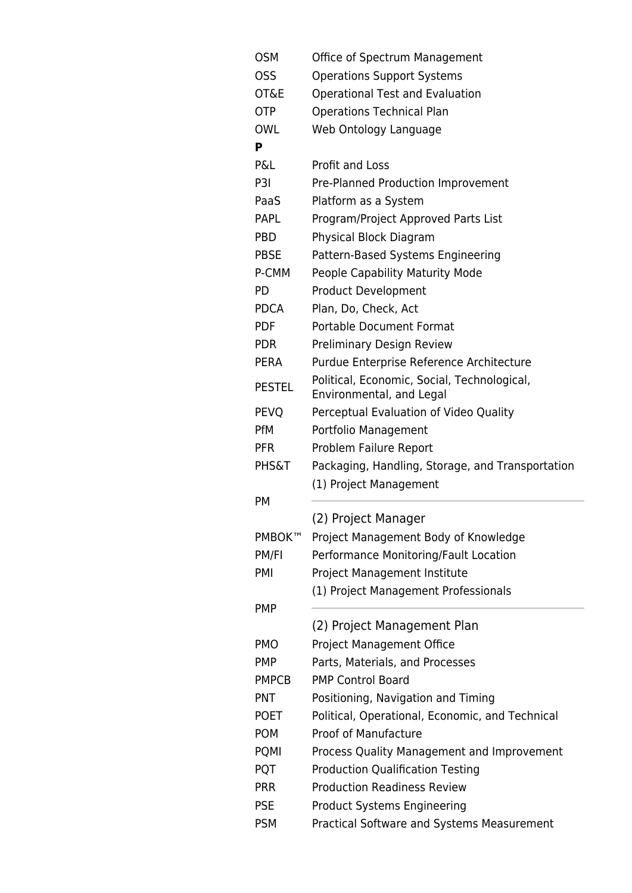| <b>OSM</b>       | Office of Spectrum Management                                           |
|------------------|-------------------------------------------------------------------------|
| <b>OSS</b>       | <b>Operations Support Systems</b>                                       |
| OT&E             | <b>Operational Test and Evaluation</b>                                  |
| <b>OTP</b>       | <b>Operations Technical Plan</b>                                        |
| OWL              | Web Ontology Language                                                   |
| P                |                                                                         |
| <b>P&amp;L</b>   | <b>Profit and Loss</b>                                                  |
| P <sub>3</sub>   | Pre-Planned Production Improvement                                      |
| PaaS             | Platform as a System                                                    |
| <b>PAPL</b>      | Program/Project Approved Parts List                                     |
| <b>PBD</b>       | Physical Block Diagram                                                  |
| <b>PBSE</b>      | Pattern-Based Systems Engineering                                       |
| P-CMM            | People Capability Maturity Mode                                         |
| <b>PD</b>        | <b>Product Development</b>                                              |
| <b>PDCA</b>      | Plan, Do, Check, Act                                                    |
| <b>PDF</b>       | <b>Portable Document Format</b>                                         |
| <b>PDR</b>       | Preliminary Design Review                                               |
| <b>PERA</b>      | Purdue Enterprise Reference Architecture                                |
| <b>PESTEL</b>    | Political, Economic, Social, Technological,<br>Environmental, and Legal |
| <b>PEVQ</b>      | Perceptual Evaluation of Video Quality                                  |
| PfM              | Portfolio Management                                                    |
| <b>PFR</b>       | Problem Failure Report                                                  |
| <b>PHS&amp;T</b> | Packaging, Handling, Storage, and Transportation                        |
|                  | (1) Project Management                                                  |
| <b>PM</b>        |                                                                         |
|                  | (2) Project Manager                                                     |
| PMBOK™           | Project Management Body of Knowledge                                    |
| PM/FI            | Performance Monitoring/Fault Location                                   |
| PMI              | <b>Project Management Institute</b>                                     |
|                  | (1) Project Management Professionals                                    |
| <b>PMP</b>       |                                                                         |
|                  | (2) Project Management Plan                                             |
| <b>PMO</b>       | <b>Project Management Office</b>                                        |
| <b>PMP</b>       | Parts, Materials, and Processes                                         |
| <b>PMPCB</b>     | <b>PMP Control Board</b>                                                |
| <b>PNT</b>       | Positioning, Navigation and Timing                                      |
| <b>POET</b>      | Political, Operational, Economic, and Technical                         |
| <b>POM</b>       | <b>Proof of Manufacture</b>                                             |
| <b>PQMI</b>      | Process Quality Management and Improvement                              |
| <b>PQT</b>       | <b>Production Qualification Testing</b>                                 |
| <b>PRR</b>       | <b>Production Readiness Review</b>                                      |
| <b>PSE</b>       | <b>Product Systems Engineering</b>                                      |
| <b>PSM</b>       | Practical Software and Systems Measurement                              |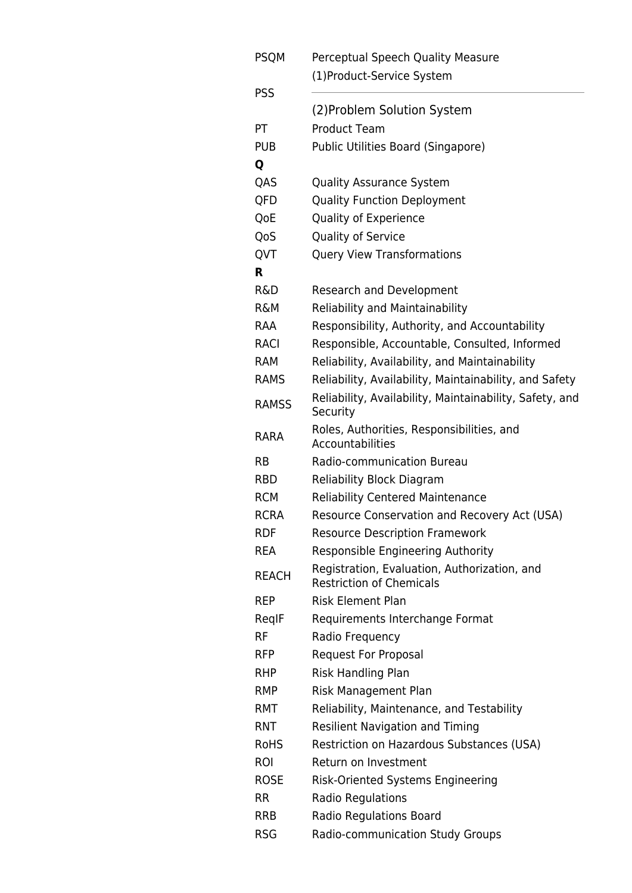| <b>PSQM</b>  | Perceptual Speech Quality Measure                                               |
|--------------|---------------------------------------------------------------------------------|
|              | (1)Product-Service System                                                       |
| <b>PSS</b>   |                                                                                 |
|              | (2) Problem Solution System                                                     |
| PT           | <b>Product Team</b>                                                             |
| <b>PUB</b>   | Public Utilities Board (Singapore)                                              |
| Q            |                                                                                 |
| QAS          | <b>Quality Assurance System</b>                                                 |
| QFD          | <b>Quality Function Deployment</b>                                              |
| QoE          | <b>Quality of Experience</b>                                                    |
| QoS          | Quality of Service                                                              |
| QVT          | <b>Query View Transformations</b>                                               |
| R            |                                                                                 |
| R&D          | <b>Research and Development</b>                                                 |
| R&M          | <b>Reliability and Maintainability</b>                                          |
| RAA          | Responsibility, Authority, and Accountability                                   |
| <b>RACI</b>  | Responsible, Accountable, Consulted, Informed                                   |
| <b>RAM</b>   | Reliability, Availability, and Maintainability                                  |
| <b>RAMS</b>  | Reliability, Availability, Maintainability, and Safety                          |
| <b>RAMSS</b> | Reliability, Availability, Maintainability, Safety, and<br>Security             |
| <b>RARA</b>  | Roles, Authorities, Responsibilities, and<br>Accountabilities                   |
| <b>RB</b>    | Radio-communication Bureau                                                      |
| <b>RBD</b>   | <b>Reliability Block Diagram</b>                                                |
| <b>RCM</b>   | <b>Reliability Centered Maintenance</b>                                         |
| <b>RCRA</b>  | Resource Conservation and Recovery Act (USA)                                    |
| <b>RDF</b>   | <b>Resource Description Framework</b>                                           |
| <b>REA</b>   | Responsible Engineering Authority                                               |
| <b>REACH</b> | Registration, Evaluation, Authorization, and<br><b>Restriction of Chemicals</b> |
| <b>REP</b>   | <b>Risk Element Plan</b>                                                        |
| ReglF        | Requirements Interchange Format                                                 |
| <b>RF</b>    | Radio Frequency                                                                 |
| <b>RFP</b>   | <b>Request For Proposal</b>                                                     |
| <b>RHP</b>   | Risk Handling Plan                                                              |
| <b>RMP</b>   | Risk Management Plan                                                            |
| <b>RMT</b>   | Reliability, Maintenance, and Testability                                       |
| <b>RNT</b>   | <b>Resilient Navigation and Timing</b>                                          |
| <b>RoHS</b>  | Restriction on Hazardous Substances (USA)                                       |
| <b>ROI</b>   | Return on Investment                                                            |
| <b>ROSE</b>  | Risk-Oriented Systems Engineering                                               |
| <b>RR</b>    | Radio Regulations                                                               |
| <b>RRB</b>   | <b>Radio Regulations Board</b>                                                  |
| <b>RSG</b>   | Radio-communication Study Groups                                                |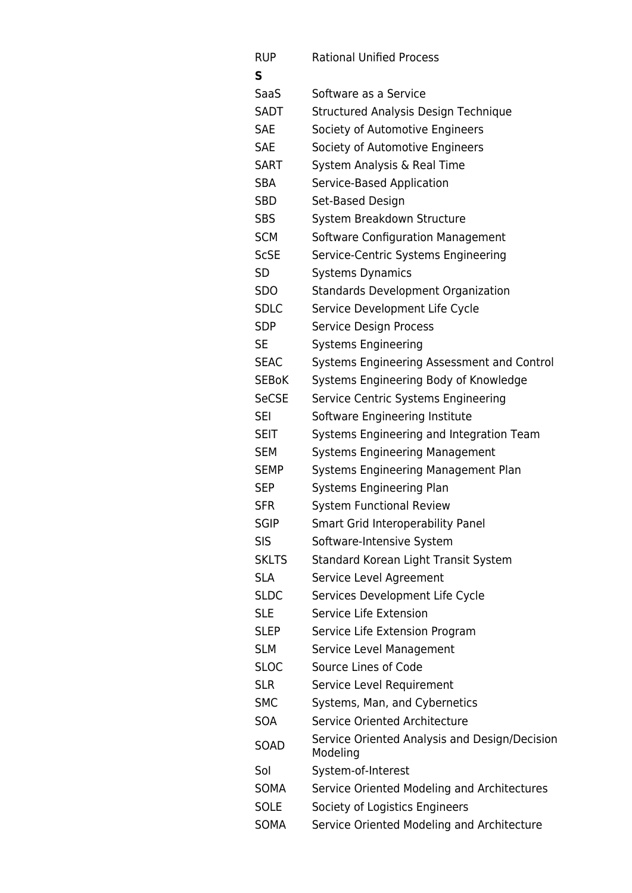| <b>RUP</b>   | <b>Rational Unified Process</b>                           |
|--------------|-----------------------------------------------------------|
| S            |                                                           |
| <b>SaaS</b>  | Software as a Service                                     |
| SADT         | Structured Analysis Design Technique                      |
| <b>SAE</b>   | Society of Automotive Engineers                           |
| <b>SAE</b>   | Society of Automotive Engineers                           |
| <b>SART</b>  | System Analysis & Real Time                               |
| <b>SBA</b>   | Service-Based Application                                 |
| <b>SBD</b>   | Set-Based Design                                          |
| <b>SBS</b>   | System Breakdown Structure                                |
| <b>SCM</b>   | Software Configuration Management                         |
| <b>ScSE</b>  | Service-Centric Systems Engineering                       |
| <b>SD</b>    | <b>Systems Dynamics</b>                                   |
| <b>SDO</b>   | <b>Standards Development Organization</b>                 |
| <b>SDLC</b>  | Service Development Life Cycle                            |
| <b>SDP</b>   | <b>Service Design Process</b>                             |
| <b>SE</b>    | <b>Systems Engineering</b>                                |
| <b>SEAC</b>  | Systems Engineering Assessment and Control                |
| <b>SEBoK</b> | Systems Engineering Body of Knowledge                     |
| <b>SeCSE</b> | Service Centric Systems Engineering                       |
| <b>SEI</b>   | Software Engineering Institute                            |
| <b>SEIT</b>  | Systems Engineering and Integration Team                  |
| <b>SEM</b>   | <b>Systems Engineering Management</b>                     |
| <b>SEMP</b>  | Systems Engineering Management Plan                       |
| <b>SEP</b>   | <b>Systems Engineering Plan</b>                           |
| <b>SFR</b>   | <b>System Functional Review</b>                           |
| <b>SGIP</b>  | <b>Smart Grid Interoperability Panel</b>                  |
| <b>SIS</b>   | Software-Intensive System                                 |
| <b>SKLTS</b> | Standard Korean Light Transit System                      |
| <b>SLA</b>   | Service Level Agreement                                   |
| <b>SLDC</b>  | Services Development Life Cycle                           |
| <b>SLE</b>   | Service Life Extension                                    |
| <b>SLEP</b>  | Service Life Extension Program                            |
| <b>SLM</b>   | Service Level Management                                  |
| <b>SLOC</b>  | Source Lines of Code                                      |
| <b>SLR</b>   | Service Level Requirement                                 |
| <b>SMC</b>   | Systems, Man, and Cybernetics                             |
| <b>SOA</b>   | Service Oriented Architecture                             |
| SOAD         | Service Oriented Analysis and Design/Decision<br>Modeling |
| Sol          | System-of-Interest                                        |
| SOMA         | Service Oriented Modeling and Architectures               |
| <b>SOLE</b>  | Society of Logistics Engineers                            |
| SOMA         | Service Oriented Modeling and Architecture                |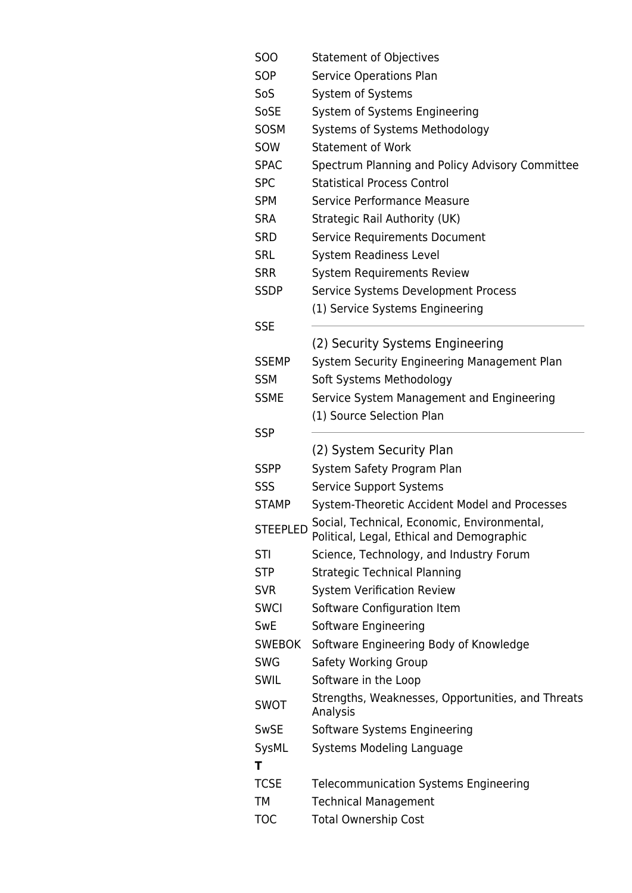| <b>SOO</b>    | <b>Statement of Objectives</b>                                                                    |
|---------------|---------------------------------------------------------------------------------------------------|
| SOP           | <b>Service Operations Plan</b>                                                                    |
| SoS           | System of Systems                                                                                 |
| <b>SoSE</b>   | System of Systems Engineering                                                                     |
| <b>SOSM</b>   | Systems of Systems Methodology                                                                    |
| SOW           | <b>Statement of Work</b>                                                                          |
| <b>SPAC</b>   | Spectrum Planning and Policy Advisory Committee                                                   |
| <b>SPC</b>    | <b>Statistical Process Control</b>                                                                |
| <b>SPM</b>    | Service Performance Measure                                                                       |
| <b>SRA</b>    | Strategic Rail Authority (UK)                                                                     |
| <b>SRD</b>    | Service Requirements Document                                                                     |
| <b>SRL</b>    | System Readiness Level                                                                            |
| <b>SRR</b>    | <b>System Requirements Review</b>                                                                 |
| <b>SSDP</b>   | Service Systems Development Process                                                               |
|               | (1) Service Systems Engineering                                                                   |
| <b>SSE</b>    |                                                                                                   |
|               | (2) Security Systems Engineering                                                                  |
| <b>SSEMP</b>  | System Security Engineering Management Plan                                                       |
| <b>SSM</b>    | Soft Systems Methodology                                                                          |
| <b>SSME</b>   | Service System Management and Engineering                                                         |
|               | (1) Source Selection Plan                                                                         |
| <b>SSP</b>    |                                                                                                   |
|               | (2) System Security Plan                                                                          |
| <b>SSPP</b>   | System Safety Program Plan                                                                        |
| SSS           | <b>Service Support Systems</b>                                                                    |
| <b>STAMP</b>  | System-Theoretic Accident Model and Processes                                                     |
|               | STEEPLED Social, Technical, Economic, Environmental,<br>Political, Legal, Ethical and Demographic |
| <b>STI</b>    |                                                                                                   |
|               | Science, Technology, and Industry Forum                                                           |
| <b>STP</b>    | <b>Strategic Technical Planning</b>                                                               |
| <b>SVR</b>    | <b>System Verification Review</b>                                                                 |
| <b>SWCI</b>   | Software Configuration Item                                                                       |
| <b>SwE</b>    | Software Engineering                                                                              |
| <b>SWEBOK</b> | Software Engineering Body of Knowledge                                                            |
| <b>SWG</b>    | <b>Safety Working Group</b>                                                                       |
| <b>SWIL</b>   | Software in the Loop                                                                              |
| <b>SWOT</b>   | Strengths, Weaknesses, Opportunities, and Threats<br>Analysis                                     |
| <b>SwSE</b>   | Software Systems Engineering                                                                      |
| SysML         | Systems Modeling Language                                                                         |
| т             |                                                                                                   |
| <b>TCSE</b>   | <b>Telecommunication Systems Engineering</b>                                                      |
| <b>TM</b>     | <b>Technical Management</b>                                                                       |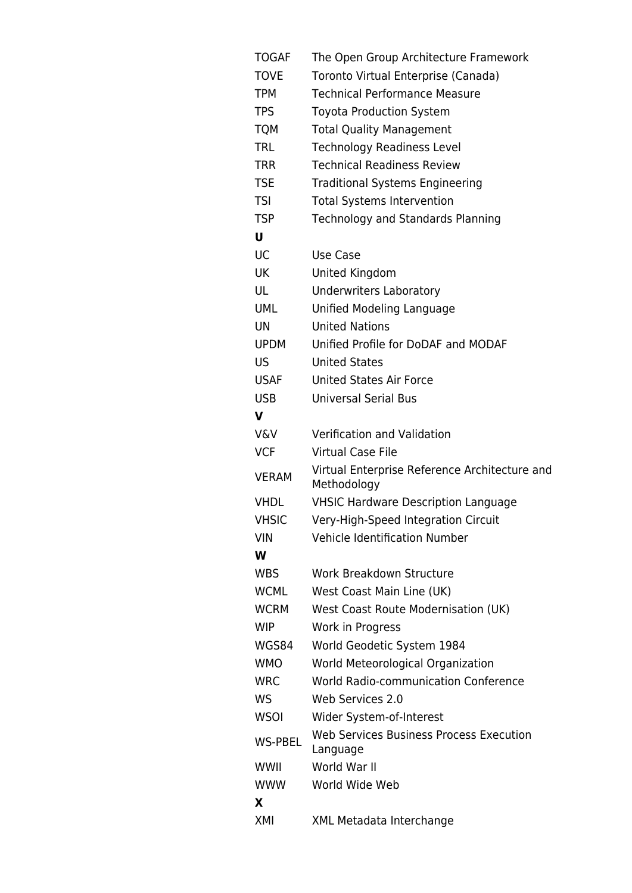| <b>TOGAF</b>   | The Open Group Architecture Framework                        |
|----------------|--------------------------------------------------------------|
| <b>TOVE</b>    | Toronto Virtual Enterprise (Canada)                          |
| <b>TPM</b>     | <b>Technical Performance Measure</b>                         |
| <b>TPS</b>     | <b>Toyota Production System</b>                              |
| TQM            | <b>Total Quality Management</b>                              |
| <b>TRL</b>     | <b>Technology Readiness Level</b>                            |
| <b>TRR</b>     | <b>Technical Readiness Review</b>                            |
| <b>TSE</b>     | <b>Traditional Systems Engineering</b>                       |
| <b>TSI</b>     | <b>Total Systems Intervention</b>                            |
| TSP            | Technology and Standards Planning                            |
| U              |                                                              |
| UC             | Use Case                                                     |
| UK             | United Kingdom                                               |
| UL             | <b>Underwriters Laboratory</b>                               |
| <b>UML</b>     | Unified Modeling Language                                    |
| <b>UN</b>      | <b>United Nations</b>                                        |
| <b>UPDM</b>    | Unified Profile for DoDAF and MODAF                          |
| US             | <b>United States</b>                                         |
| <b>USAF</b>    | <b>United States Air Force</b>                               |
| <b>USB</b>     | <b>Universal Serial Bus</b>                                  |
| V              |                                                              |
| <b>V&amp;V</b> | <b>Verification and Validation</b>                           |
| <b>VCF</b>     | <b>Virtual Case File</b>                                     |
| <b>VERAM</b>   | Virtual Enterprise Reference Architecture and<br>Methodology |
| <b>VHDL</b>    | <b>VHSIC Hardware Description Language</b>                   |
| <b>VHSIC</b>   | Very-High-Speed Integration Circuit                          |
| VIN            | <b>Vehicle Identification Number</b>                         |
| W              |                                                              |
| <b>WBS</b>     | Work Breakdown Structure                                     |
| <b>WCML</b>    | West Coast Main Line (UK)                                    |
| <b>WCRM</b>    | <b>West Coast Route Modernisation (UK)</b>                   |
| <b>WIP</b>     | Work in Progress                                             |
| WGS84          | World Geodetic System 1984                                   |
| <b>WMO</b>     | World Meteorological Organization                            |
| <b>WRC</b>     | <b>World Radio-communication Conference</b>                  |
| <b>WS</b>      | Web Services 2.0                                             |
| <b>WSOI</b>    | Wider System-of-Interest                                     |
| <b>WS-PBEL</b> | <b>Web Services Business Process Execution</b><br>Language   |
| WWII           | World War II                                                 |
| <b>WWW</b>     | World Wide Web                                               |
| X              |                                                              |
| XMI            | XML Metadata Interchange                                     |